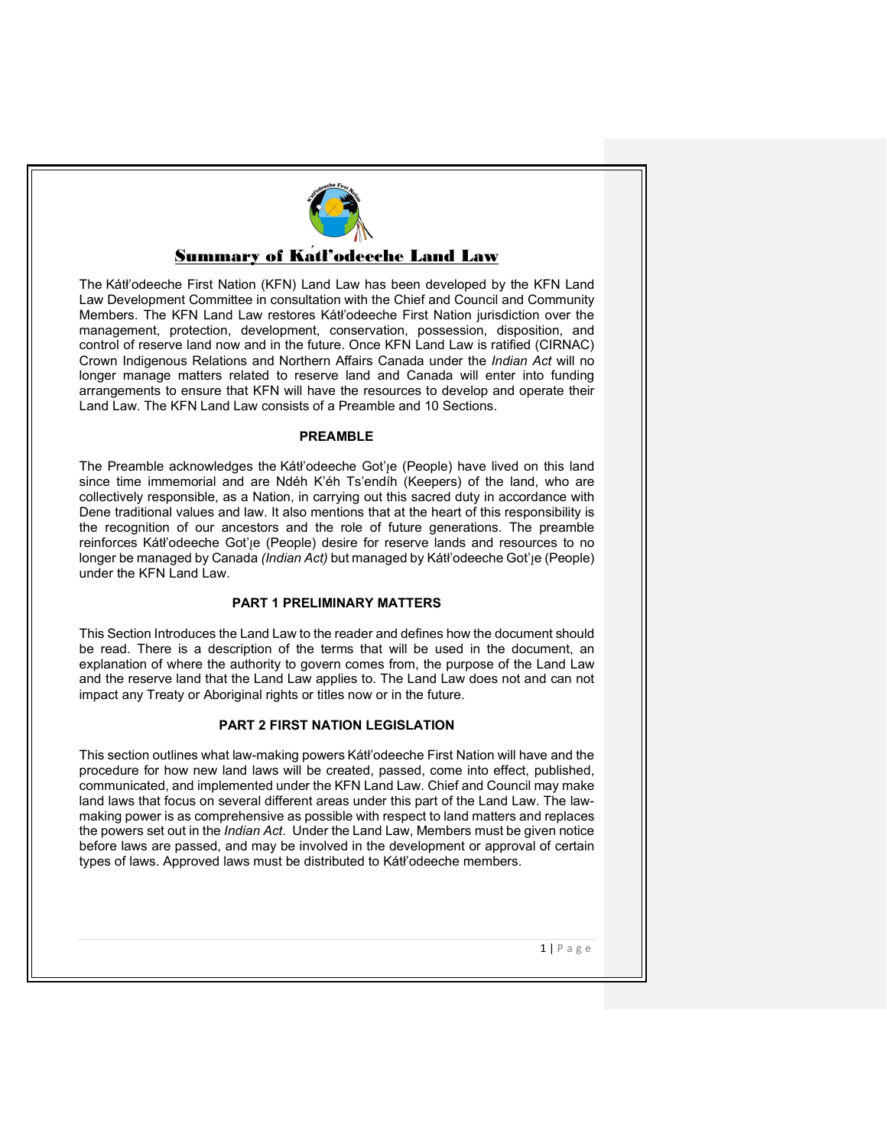# Summary of Kátł'odeeche Land Law

The Kátł'odeeche First Nation (KFN) Land Law has been developed by the KFN Land Law Development Committee in consultation with the Chief and Council and Community Members. The KFN Land Law restores Kátł'odeeche First Nation jurisdiction over the management, protection, development, conservation, possession, disposition, and control of reserve land now and in the future. Once KFN Land Law is ratified (CIRNAC) Crown Indigenous Relations and Northern Affairs Canada under the *Indian Act* will no longer manage matters related to reserve land and Canada will enter into funding arrangements to ensure that KFN will have the resources to develop and operate their Land Law. The KFN Land Law consists of a Preamble and 10 Sections.

#### **PREAMBLE**

The Preamble acknowledges the Kátł'odeeche Got'ie (People) have lived on this land since time immemorial and are Ndéh K'éh Ts'endı́ h (Keepers) of the land, who are collectively responsible, as a Nation, in carrying out this sacred duty in accordance with Dene traditional values and law. It also mentions that at the heart of this responsibility is the recognition of our ancestors and the role of future generations. The preamble reinforces Kátł'odeeche Got'<sub>l</sub>e (People) desire for reserve lands and resources to no longer be managed by Canada *(Indian Act)* but managed by Kátł'odeeche Got'<sub>je</sub> (People) under the KFN Land Law.

#### **PART 1 PRELIMINARY MATTERS**

This Section Introduces the Land Law to the reader and defines how the document should be read. There is a description of the terms that will be used in the document, an explanation of where the authority to govern comes from, the purpose of the Land Law and the reserve land that the Land Law applies to. The Land Law does not and can not impact any Treaty or Aboriginal rights or titles now or in the future.

## **PART 2 FIRST NATION LEGISLATION**

This section outlines what law-making powers Kátł'odeeche First Nation will have and the procedure for how new land laws will be created, passed, come into effect, published, communicated, and implemented under the KFN Land Law. Chief and Council may make land laws that focus on several different areas under this part of the Land Law. The lawmaking power is as comprehensive as possible with respect to land matters and replaces the powers set out in the *Indian Act*. Under the Land Law, Members must be given notice before laws are passed, and may be involved in the development or approval of certain types of laws. Approved laws must be distributed to Kátł'odeeche members.

1 | Page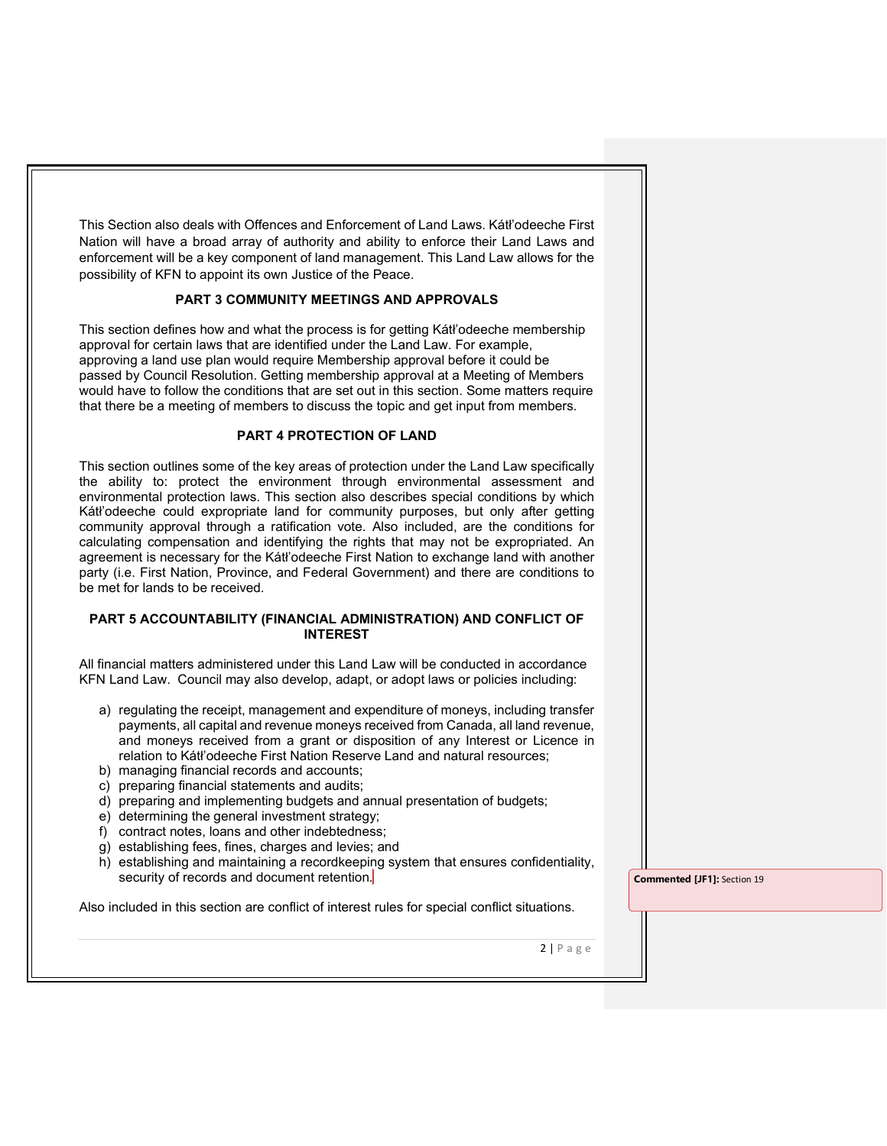This Section also deals with Offences and Enforcement of Land Laws. Kátł'odeeche First Nation will have a broad array of authority and ability to enforce their Land Laws and enforcement will be a key component of land management. This Land Law allows for the possibility of KFN to appoint its own Justice of the Peace.

#### **PART 3 COMMUNITY MEETINGS AND APPROVALS**

This section defines how and what the process is for getting Kátł'odeeche membership approval for certain laws that are identified under the Land Law. For example, approving a land use plan would require Membership approval before it could be passed by Council Resolution. Getting membership approval at a Meeting of Members would have to follow the conditions that are set out in this section. Some matters require that there be a meeting of members to discuss the topic and get input from members.

#### **PART 4 PROTECTION OF LAND**

This section outlines some of the key areas of protection under the Land Law specifically the ability to: protect the environment through environmental assessment and environmental protection laws. This section also describes special conditions by which Kátł'odeeche could expropriate land for community purposes, but only after getting community approval through a ratification vote. Also included, are the conditions for calculating compensation and identifying the rights that may not be expropriated. An agreement is necessary for the Kátł'odeeche First Nation to exchange land with another party (i.e. First Nation, Province, and Federal Government) and there are conditions to be met for lands to be received.

#### **PART 5 ACCOUNTABILITY (FINANCIAL ADMINISTRATION) AND CONFLICT OF INTEREST**

All financial matters administered under this Land Law will be conducted in accordance KFN Land Law. Council may also develop, adapt, or adopt laws or policies including:

- a) regulating the receipt, management and expenditure of moneys, including transfer payments, all capital and revenue moneys received from Canada, all land revenue, and moneys received from a grant or disposition of any Interest or Licence in relation to Kátł'odeeche First Nation Reserve Land and natural resources;
- b) managing financial records and accounts;
- c) preparing financial statements and audits;
- d) preparing and implementing budgets and annual presentation of budgets;
- e) determining the general investment strategy;
- f) contract notes, loans and other indebtedness;
- g) establishing fees, fines, charges and levies; and
- h) establishing and maintaining a recordkeeping system that ensures confidentiality, security of records and document retention.

**Commented [JF1]:** Section 19

Also included in this section are conflict of interest rules for special conflict situations.

 $2 | P \text{age}$